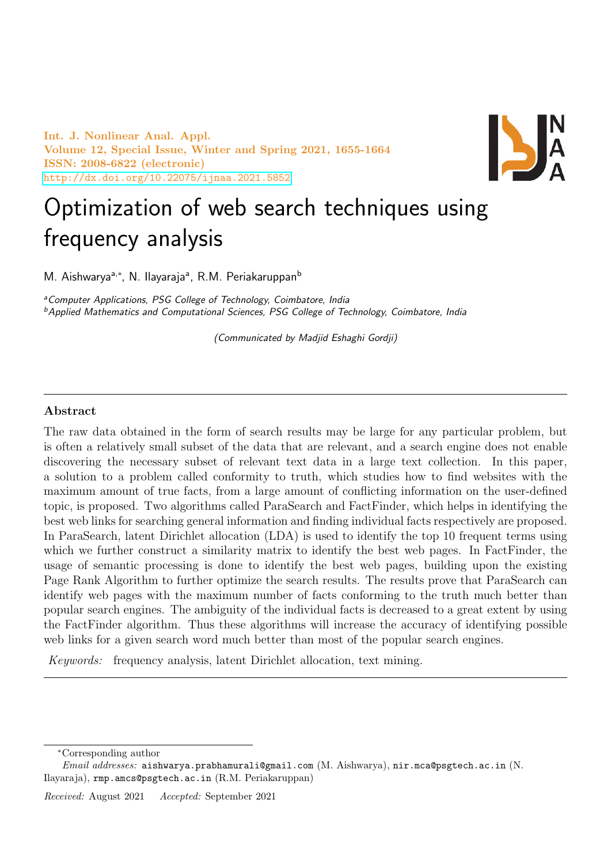Int. J. Nonlinear Anal. Appl. Volume 12, Special Issue, Winter and Spring 2021, 1655-1664 ISSN: 2008-6822 (electronic) <http://dx.doi.org/10.22075/ijnaa.2021.5852>



# Optimization of web search techniques using frequency analysis

M. Aishwarya<sup>a,∗</sup>, N. Ilayarajaª, R.M. Periakaruppan<sup>b</sup>

<sup>a</sup> Computer Applications, PSG College of Technology, Coimbatore, India <sup>b</sup>Applied Mathematics and Computational Sciences, PSG College of Technology, Coimbatore, India

(Communicated by Madjid Eshaghi Gordji)

# Abstract

The raw data obtained in the form of search results may be large for any particular problem, but is often a relatively small subset of the data that are relevant, and a search engine does not enable discovering the necessary subset of relevant text data in a large text collection. In this paper, a solution to a problem called conformity to truth, which studies how to find websites with the maximum amount of true facts, from a large amount of conflicting information on the user-defined topic, is proposed. Two algorithms called ParaSearch and FactFinder, which helps in identifying the best web links for searching general information and finding individual facts respectively are proposed. In ParaSearch, latent Dirichlet allocation (LDA) is used to identify the top 10 frequent terms using which we further construct a similarity matrix to identify the best web pages. In FactFinder, the usage of semantic processing is done to identify the best web pages, building upon the existing Page Rank Algorithm to further optimize the search results. The results prove that ParaSearch can identify web pages with the maximum number of facts conforming to the truth much better than popular search engines. The ambiguity of the individual facts is decreased to a great extent by using the FactFinder algorithm. Thus these algorithms will increase the accuracy of identifying possible web links for a given search word much better than most of the popular search engines.

Keywords: frequency analysis, latent Dirichlet allocation, text mining.

<sup>∗</sup>Corresponding author

Email addresses: aishwarya.prabhamurali@gmail.com (M. Aishwarya), nir.mca@psgtech.ac.in (N. Ilayaraja), rmp.amcs@psgtech.ac.in (R.M. Periakaruppan)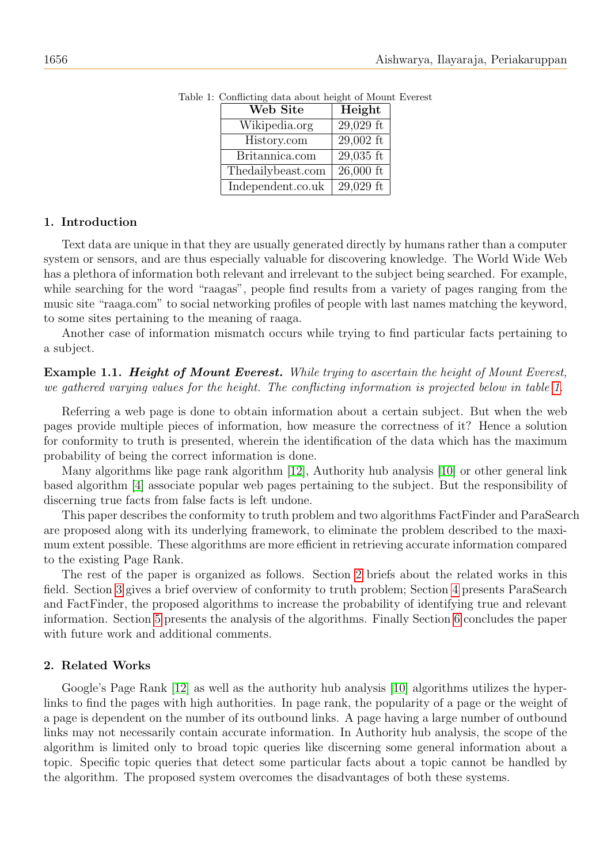<span id="page-1-0"></span>

| Web Site          | Height      |
|-------------------|-------------|
| Wikipedia.org     | 29,029 ft   |
| History.com       | $29,002$ ft |
| Britannica.com    | $29,035$ ft |
| Thedailybeast.com | $26,000$ ft |
| Independent.co.uk | $29,029$ ft |

Table 1: Conflicting data about height of Mount Everest

#### 1. Introduction

Text data are unique in that they are usually generated directly by humans rather than a computer system or sensors, and are thus especially valuable for discovering knowledge. The World Wide Web has a plethora of information both relevant and irrelevant to the subject being searched. For example, while searching for the word "raagas", people find results from a variety of pages ranging from the music site "raaga.com" to social networking profiles of people with last names matching the keyword, to some sites pertaining to the meaning of raaga.

Another case of information mismatch occurs while trying to find particular facts pertaining to a subject.

Example 1.1. Height of Mount Everest. While trying to ascertain the height of Mount Everest, we gathered varying values for the height. The conflicting information is projected below in table [1.](#page-1-0)

Referring a web page is done to obtain information about a certain subject. But when the web pages provide multiple pieces of information, how measure the correctness of it? Hence a solution for conformity to truth is presented, wherein the identification of the data which has the maximum probability of being the correct information is done.

Many algorithms like page rank algorithm [\[12\]](#page-8-0), Authority hub analysis [\[10\]](#page-8-1) or other general link based algorithm [\[4\]](#page-8-2) associate popular web pages pertaining to the subject. But the responsibility of discerning true facts from false facts is left undone.

This paper describes the conformity to truth problem and two algorithms FactFinder and ParaSearch are proposed along with its underlying framework, to eliminate the problem described to the maximum extent possible. These algorithms are more efficient in retrieving accurate information compared to the existing Page Rank.

The rest of the paper is organized as follows. Section [2](#page-1-1) briefs about the related works in this field. Section [3](#page-2-0) gives a brief overview of conformity to truth problem; Section [4](#page-2-1) presents ParaSearch and FactFinder, the proposed algorithms to increase the probability of identifying true and relevant information. Section [5](#page-6-0) presents the analysis of the algorithms. Finally Section [6](#page-8-3) concludes the paper with future work and additional comments.

#### <span id="page-1-1"></span>2. Related Works

Google's Page Rank [\[12\]](#page-8-0) as well as the authority hub analysis [\[10\]](#page-8-1) algorithms utilizes the hyperlinks to find the pages with high authorities. In page rank, the popularity of a page or the weight of a page is dependent on the number of its outbound links. A page having a large number of outbound links may not necessarily contain accurate information. In Authority hub analysis, the scope of the algorithm is limited only to broad topic queries like discerning some general information about a topic. Specific topic queries that detect some particular facts about a topic cannot be handled by the algorithm. The proposed system overcomes the disadvantages of both these systems.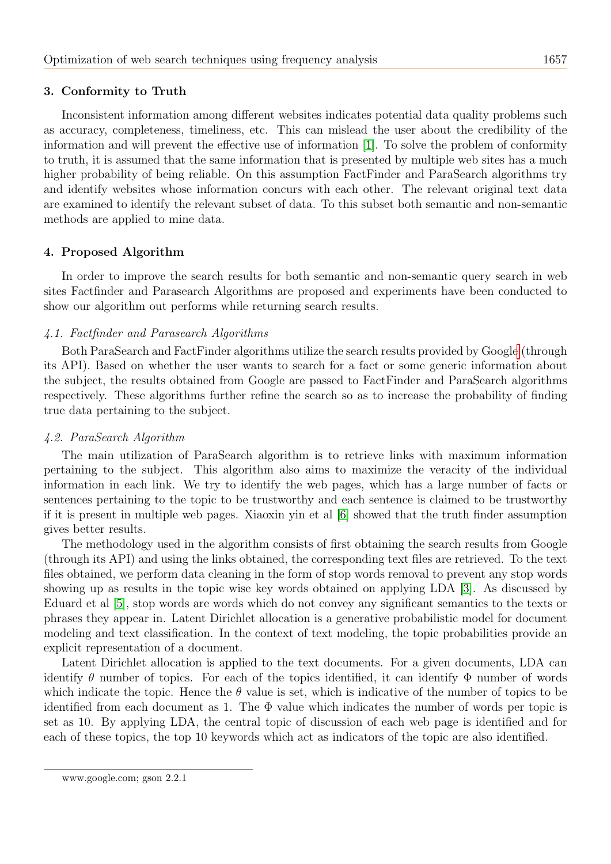#### <span id="page-2-0"></span>3. Conformity to Truth

Inconsistent information among different websites indicates potential data quality problems such as accuracy, completeness, timeliness, etc. This can mislead the user about the credibility of the information and will prevent the effective use of information [\[1\]](#page-8-4). To solve the problem of conformity to truth, it is assumed that the same information that is presented by multiple web sites has a much higher probability of being reliable. On this assumption FactFinder and ParaSearch algorithms try and identify websites whose information concurs with each other. The relevant original text data are examined to identify the relevant subset of data. To this subset both semantic and non-semantic methods are applied to mine data.

## <span id="page-2-1"></span>4. Proposed Algorithm

In order to improve the search results for both semantic and non-semantic query search in web sites Factfinder and Parasearch Algorithms are proposed and experiments have been conducted to show our algorithm out performs while returning search results.

#### 4.1. Factfinder and Parasearch Algorithms

Both ParaSearch and FactFinder algorithms utilize the search results provided by Googl[e](#page-2-2) (through its API). Based on whether the user wants to search for a fact or some generic information about the subject, the results obtained from Google are passed to FactFinder and ParaSearch algorithms respectively. These algorithms further refine the search so as to increase the probability of finding true data pertaining to the subject.

#### 4.2. ParaSearch Algorithm

The main utilization of ParaSearch algorithm is to retrieve links with maximum information pertaining to the subject. This algorithm also aims to maximize the veracity of the individual information in each link. We try to identify the web pages, which has a large number of facts or sentences pertaining to the topic to be trustworthy and each sentence is claimed to be trustworthy if it is present in multiple web pages. Xiaoxin yin et al [\[6\]](#page-8-5) showed that the truth finder assumption gives better results.

The methodology used in the algorithm consists of first obtaining the search results from Google (through its API) and using the links obtained, the corresponding text files are retrieved. To the text files obtained, we perform data cleaning in the form of stop words removal to prevent any stop words showing up as results in the topic wise key words obtained on applying LDA [\[3\]](#page-8-6). As discussed by Eduard et al [\[5\]](#page-8-7), stop words are words which do not convey any significant semantics to the texts or phrases they appear in. Latent Dirichlet allocation is a generative probabilistic model for document modeling and text classification. In the context of text modeling, the topic probabilities provide an explicit representation of a document.

Latent Dirichlet allocation is applied to the text documents. For a given documents, LDA can identify  $\theta$  number of topics. For each of the topics identified, it can identify  $\Phi$  number of words which indicate the topic. Hence the  $\theta$  value is set, which is indicative of the number of topics to be identified from each document as 1. The  $\Phi$  value which indicates the number of words per topic is set as 10. By applying LDA, the central topic of discussion of each web page is identified and for each of these topics, the top 10 keywords which act as indicators of the topic are also identified.

<span id="page-2-2"></span>www.google.com; gson 2.2.1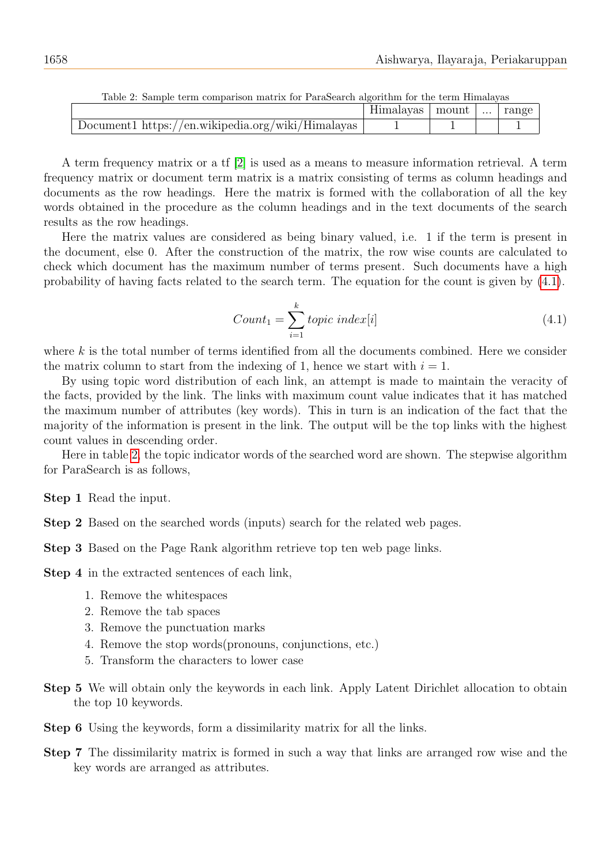| Table 2. Dailiple term comparison matrix for I arabearen argoritmii for tiie termiatavas |                   |  |          |       |
|------------------------------------------------------------------------------------------|-------------------|--|----------|-------|
|                                                                                          | Himalayas   mount |  | $\cdots$ | range |
| Document1 https://en.wikipedia.org/wiki/Himalayas                                        |                   |  |          |       |

<span id="page-3-1"></span>Table 2: Sample term comparison matrix for ParaSearch algorithm for the term Himalayas

A term frequency matrix or a tf [\[2\]](#page-8-8) is used as a means to measure information retrieval. A term frequency matrix or document term matrix is a matrix consisting of terms as column headings and documents as the row headings. Here the matrix is formed with the collaboration of all the key words obtained in the procedure as the column headings and in the text documents of the search results as the row headings.

Here the matrix values are considered as being binary valued, i.e. 1 if the term is present in the document, else 0. After the construction of the matrix, the row wise counts are calculated to check which document has the maximum number of terms present. Such documents have a high probability of having facts related to the search term. The equation for the count is given by [\(4.1\)](#page-3-0).

<span id="page-3-0"></span>
$$
Count_1 = \sum_{i=1}^{k} topic\ index[i] \tag{4.1}
$$

where  $k$  is the total number of terms identified from all the documents combined. Here we consider the matrix column to start from the indexing of 1, hence we start with  $i = 1$ .

By using topic word distribution of each link, an attempt is made to maintain the veracity of the facts, provided by the link. The links with maximum count value indicates that it has matched the maximum number of attributes (key words). This in turn is an indication of the fact that the majority of the information is present in the link. The output will be the top links with the highest count values in descending order.

Here in table [2,](#page-3-1) the topic indicator words of the searched word are shown. The stepwise algorithm for ParaSearch is as follows,

Step 1 Read the input.

Step 2 Based on the searched words (inputs) search for the related web pages.

Step 3 Based on the Page Rank algorithm retrieve top ten web page links.

Step 4 in the extracted sentences of each link,

- 1. Remove the whitespaces
- 2. Remove the tab spaces
- 3. Remove the punctuation marks
- 4. Remove the stop words(pronouns, conjunctions, etc.)
- 5. Transform the characters to lower case
- Step 5 We will obtain only the keywords in each link. Apply Latent Dirichlet allocation to obtain the top 10 keywords.
- Step 6 Using the keywords, form a dissimilarity matrix for all the links.
- Step 7 The dissimilarity matrix is formed in such a way that links are arranged row wise and the key words are arranged as attributes.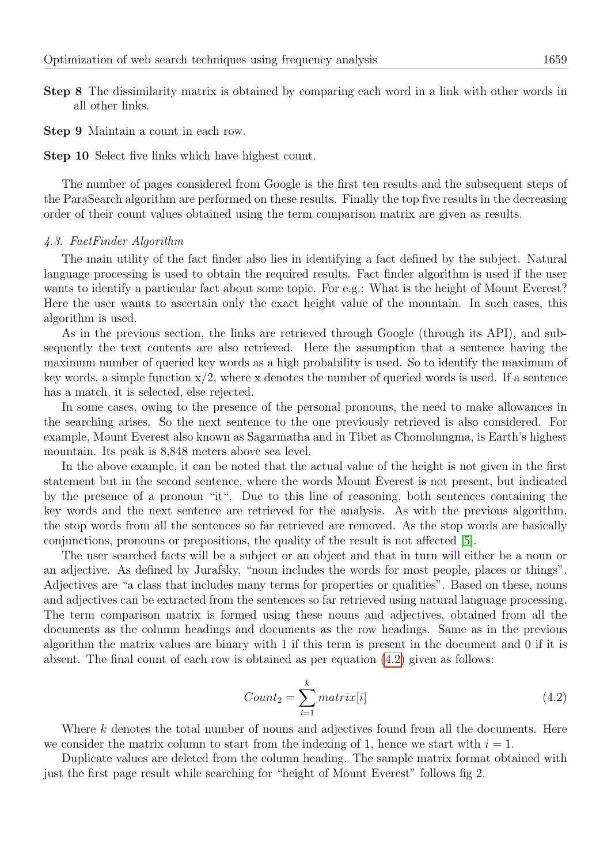- Step 8 The dissimilarity matrix is obtained by comparing each word in a link with other words in all other links.
- Step 9 Maintain a count in each row.

Step 10 Select five links which have highest count.

The number of pages considered from Google is the first ten results and the subsequent steps of the ParaSearch algorithm are performed on these results. Finally the top five results in the decreasing order of their count values obtained using the term comparison matrix are given as results.

#### 4.3. FactFinder Algorithm

The main utility of the fact finder also lies in identifying a fact defined by the subject. Natural language processing is used to obtain the required results. Fact finder algorithm is used if the user wants to identify a particular fact about some topic. For e.g.: What is the height of Mount Everest? Here the user wants to ascertain only the exact height value of the mountain. In such cases, this algorithm is used.

As in the previous section, the links are retrieved through Google (through its API), and subsequently the text contents are also retrieved. Here the assumption that a sentence having the maximum number of queried key words as a high probability is used. So to identify the maximum of key words, a simple function  $x/2$ , where x denotes the number of queried words is used. If a sentence has a match, it is selected, else rejected.

In some cases, owing to the presence of the personal pronouns, the need to make allowances in the searching arises. So the next sentence to the one previously retrieved is also considered. For example, Mount Everest also known as Sagarmatha and in Tibet as Chomolungma, is Earth's highest mountain. Its peak is 8,848 meters above sea level.

In the above example, it can be noted that the actual value of the height is not given in the first statement but in the second sentence, where the words Mount Everest is not present, but indicated by the presence of a pronoun "it". Due to this line of reasoning, both sentences containing the key words and the next sentence are retrieved for the analysis. As with the previous algorithm, the stop words from all the sentences so far retrieved are removed. As the stop words are basically conjunctions, pronouns or prepositions, the quality of the result is not affected [\[5\]](#page-8-7).

The user searched facts will be a subject or an object and that in turn will either be a noun or an adjective. As defined by Jurafsky, "noun includes the words for most people, places or things". Adjectives are "a class that includes many terms for properties or qualities". Based on these, nouns and adjectives can be extracted from the sentences so far retrieved using natural language processing. The term comparison matrix is formed using these nouns and adjectives, obtained from all the documents as the column headings and documents as the row headings. Same as in the previous algorithm the matrix values are binary with 1 if this term is present in the document and 0 if it is absent. The final count of each row is obtained as per equation [\(4.2\)](#page-4-0) given as follows:

<span id="page-4-0"></span>
$$
Count_2 = \sum_{i=1}^{k} matrix[i] \tag{4.2}
$$

Where  $k$  denotes the total number of nouns and adjectives found from all the documents. Here we consider the matrix column to start from the indexing of 1, hence we start with  $i = 1$ .

Duplicate values are deleted from the column heading. The sample matrix format obtained with just the first page result while searching for "height of Mount Everest" follows fig 2.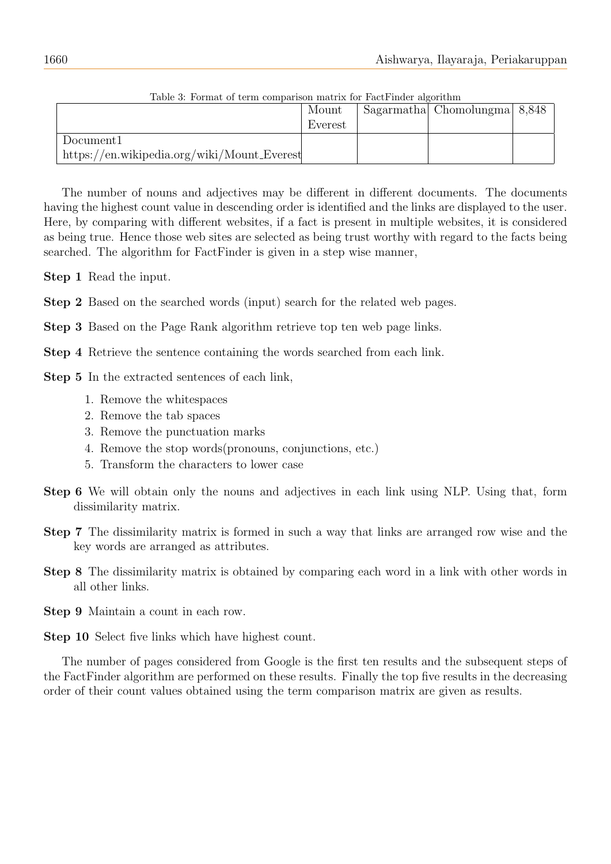| Table 9. Format of term comparison matrix for ractringer algorithm |         |  |                              |  |  |  |
|--------------------------------------------------------------------|---------|--|------------------------------|--|--|--|
|                                                                    | Mount   |  | Sagarmatha Chomolungma 8,848 |  |  |  |
|                                                                    | Everest |  |                              |  |  |  |
| Document1                                                          |         |  |                              |  |  |  |
| $\hbar\text{t}$ ps://en.wikipedia.org/wiki/Mount_Everest           |         |  |                              |  |  |  |

Table 3: Format of term comparison matrix for FactFinder algorithm

The number of nouns and adjectives may be different in different documents. The documents having the highest count value in descending order is identified and the links are displayed to the user. Here, by comparing with different websites, if a fact is present in multiple websites, it is considered as being true. Hence those web sites are selected as being trust worthy with regard to the facts being searched. The algorithm for FactFinder is given in a step wise manner,

Step 1 Read the input.

Step 2 Based on the searched words (input) search for the related web pages.

Step 3 Based on the Page Rank algorithm retrieve top ten web page links.

Step 4 Retrieve the sentence containing the words searched from each link.

- Step 5 In the extracted sentences of each link,
	- 1. Remove the whitespaces
	- 2. Remove the tab spaces
	- 3. Remove the punctuation marks
	- 4. Remove the stop words(pronouns, conjunctions, etc.)
	- 5. Transform the characters to lower case
- Step 6 We will obtain only the nouns and adjectives in each link using NLP. Using that, form dissimilarity matrix.
- Step 7 The dissimilarity matrix is formed in such a way that links are arranged row wise and the key words are arranged as attributes.
- Step 8 The dissimilarity matrix is obtained by comparing each word in a link with other words in all other links.
- Step 9 Maintain a count in each row.

The number of pages considered from Google is the first ten results and the subsequent steps of the FactFinder algorithm are performed on these results. Finally the top five results in the decreasing order of their count values obtained using the term comparison matrix are given as results.

Step 10 Select five links which have highest count.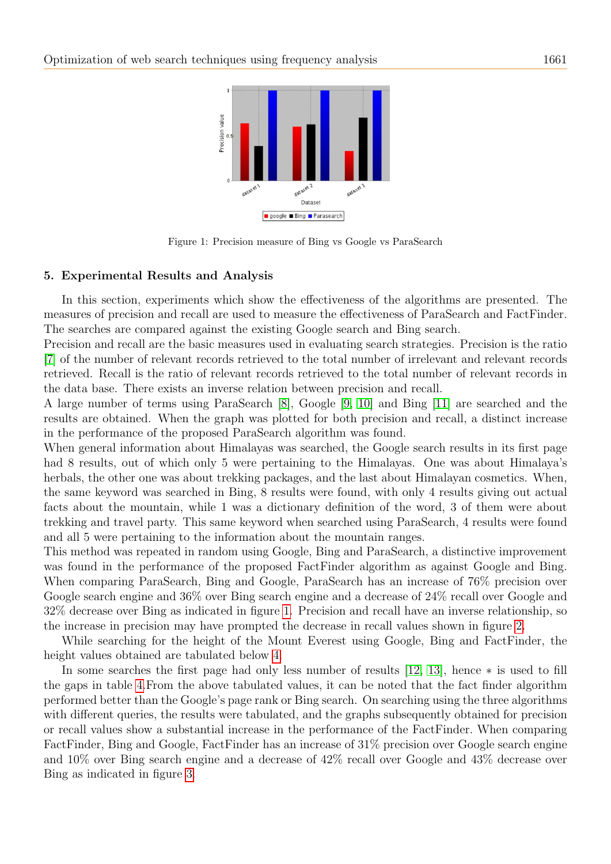

<span id="page-6-1"></span>Figure 1: Precision measure of Bing vs Google vs ParaSearch

#### <span id="page-6-0"></span>5. Experimental Results and Analysis

In this section, experiments which show the effectiveness of the algorithms are presented. The measures of precision and recall are used to measure the effectiveness of ParaSearch and FactFinder. The searches are compared against the existing Google search and Bing search.

Precision and recall are the basic measures used in evaluating search strategies. Precision is the ratio [\[7\]](#page-8-9) of the number of relevant records retrieved to the total number of irrelevant and relevant records retrieved. Recall is the ratio of relevant records retrieved to the total number of relevant records in the data base. There exists an inverse relation between precision and recall.

A large number of terms using ParaSearch [\[8\]](#page-8-10), Google [\[9,](#page-8-11) [10\]](#page-8-1) and Bing [\[11\]](#page-8-12) are searched and the results are obtained. When the graph was plotted for both precision and recall, a distinct increase in the performance of the proposed ParaSearch algorithm was found.

When general information about Himalayas was searched, the Google search results in its first page had 8 results, out of which only 5 were pertaining to the Himalayas. One was about Himalaya's herbals, the other one was about trekking packages, and the last about Himalayan cosmetics. When, the same keyword was searched in Bing, 8 results were found, with only 4 results giving out actual facts about the mountain, while 1 was a dictionary definition of the word, 3 of them were about trekking and travel party. This same keyword when searched using ParaSearch, 4 results were found and all 5 were pertaining to the information about the mountain ranges.

This method was repeated in random using Google, Bing and ParaSearch, a distinctive improvement was found in the performance of the proposed FactFinder algorithm as against Google and Bing. When comparing ParaSearch, Bing and Google, ParaSearch has an increase of 76% precision over Google search engine and 36% over Bing search engine and a decrease of 24% recall over Google and 32% decrease over Bing as indicated in figure [1.](#page-6-1) Precision and recall have an inverse relationship, so the increase in precision may have prompted the decrease in recall values shown in figure [2.](#page-7-0)

While searching for the height of the Mount Everest using Google, Bing and FactFinder, the height values obtained are tabulated below [4.](#page-7-1)

In some searches the first page had only less number of results [\[12,](#page-8-0) [13\]](#page-8-13), hence ∗ is used to fill the gaps in table [4.](#page-7-1)From the above tabulated values, it can be noted that the fact finder algorithm performed better than the Google's page rank or Bing search. On searching using the three algorithms with different queries, the results were tabulated, and the graphs subsequently obtained for precision or recall values show a substantial increase in the performance of the FactFinder. When comparing FactFinder, Bing and Google, FactFinder has an increase of 31% precision over Google search engine and 10% over Bing search engine and a decrease of 42% recall over Google and 43% decrease over Bing as indicated in figure [3.](#page-7-2)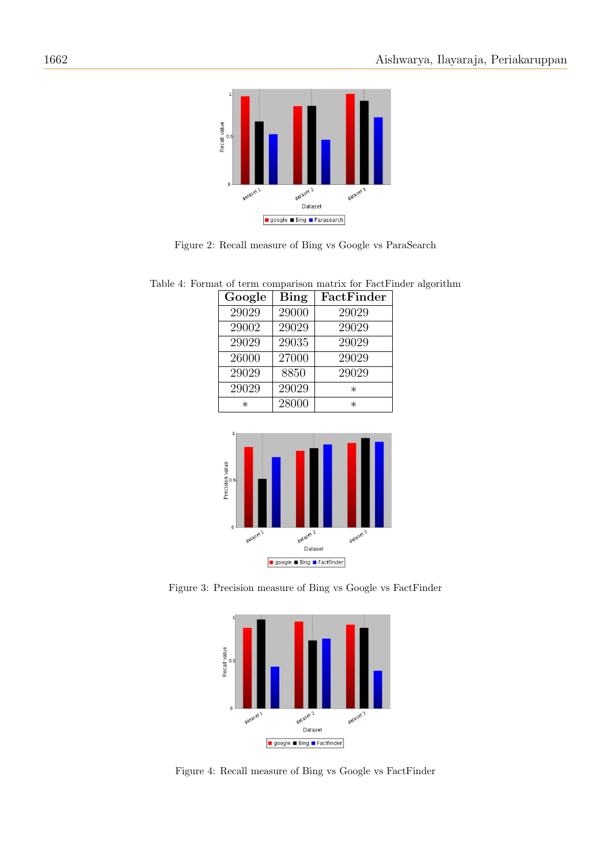

<span id="page-7-0"></span>Figure 2: Recall measure of Bing vs Google vs ParaSearch

<span id="page-7-1"></span>

| Google | Bing  | FactFinder |
|--------|-------|------------|
| 29029  | 29000 | 29029      |
| 29002  | 29029 | 29029      |
| 29029  | 29035 | 29029      |
| 26000  | 27000 | 29029      |
| 29029  | 8850  | 29029      |
| 29029  | 29029 | $^\ast$    |
| $\ast$ | 28000 | $^\ast$    |

Table 4: Format of term comparison matrix for FactFinder algorithm



Figure 3: Precision measure of Bing vs Google vs FactFinder

<span id="page-7-2"></span>

Figure 4: Recall measure of Bing vs Google vs FactFinder